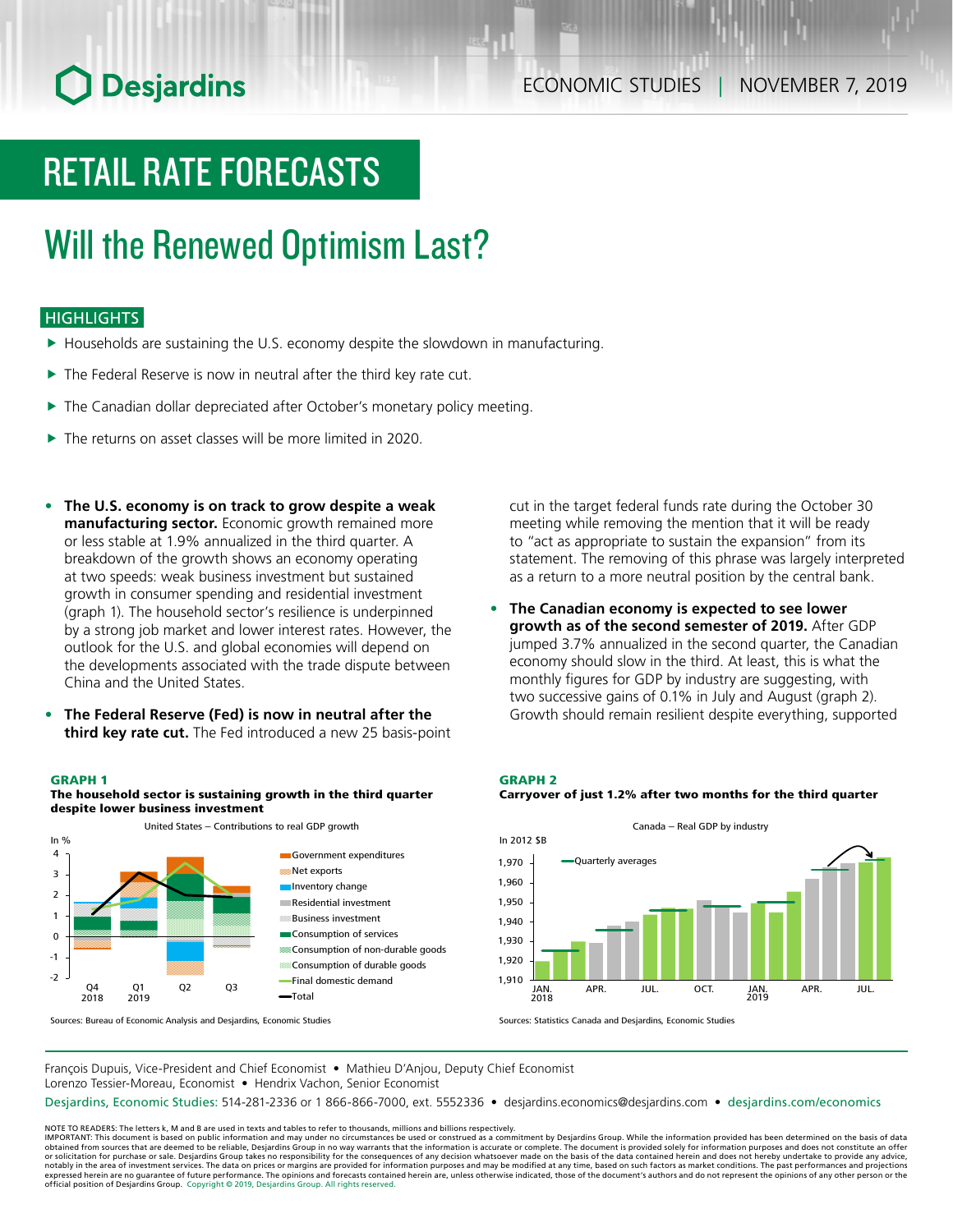# **O** Desjardins

# RETAIL RATE FORECASTS

## Will the Renewed Optimism Last?

### **HIGHLIGHTS**

- $\blacktriangleright$  Households are sustaining the U.S. economy despite the slowdown in manufacturing.
- $\blacktriangleright$  The Federal Reserve is now in neutral after the third key rate cut.
- $\blacktriangleright$  The Canadian dollar depreciated after October's monetary policy meeting.
- $\blacktriangleright$  The returns on asset classes will be more limited in 2020.
- **• The U.S. economy is on track to grow despite a weak manufacturing sector.** Economic growth remained more or less stable at 1.9% annualized in the third quarter. A breakdown of the growth shows an economy operating at two speeds: weak business investment but sustained growth in consumer spending and residential investment (graph 1). The household sector's resilience is underpinned by a strong job market and lower interest rates. However, the outlook for the U.S. and global economies will depend on the developments associated with the trade dispute between China and the United States.
- **• The Federal Reserve (Fed) is now in neutral after the third key rate cut.** The Fed introduced a new 25 basis-point

#### GRAPH 1





Sources: Bureau of Economic Analysis and Desjardins, Economic Studies

cut in the target federal funds rate during the October 30 meeting while removing the mention that it will be ready to "act as appropriate to sustain the expansion" from its statement. The removing of this phrase was largely interpreted as a return to a more neutral position by the central bank.

**• The Canadian economy is expected to see lower growth as of the second semester of 2019.** After GDP jumped 3.7% annualized in the second quarter, the Canadian economy should slow in the third. At least, this is what the monthly figures for GDP by industry are suggesting, with two successive gains of 0.1% in July and August (graph 2). Growth should remain resilient despite everything, supported

#### GRAPH 2





Sources: Statistics Canada and Desjardins, Economic Studies

François Dupuis, Vice-President and Chief Economist • Mathieu D'Anjou, Deputy Chief Economist Lorenzo Tessier-Moreau, Economist • Hendrix Vachon, Senior Economist

Desjardins, Economic Studies: 514-281-2336 or 1 866-866-7000, ext. 5552336 • desjardins.economics@desjardins.com • [desjardins.com/economics](http://desjardins.com/economics)

NOTE TO READERS: The letters k, M and B are used in texts and tables to refer to thousands, millions and billions respectively.<br>IMPORTANT: This document is based on public information and may under no circumstances be used obtained from sources that are deemed to be reliable, Desjardins Group in no way warrants that the information is accurate or complete. The document is provided solely for information purposes and does not constitute an of expressed herein are no guarantee of future performance. The opinions and forecasts contained herein are, unless otherwise indicated, those of the document's authors and do not represent the opinions of any other person or official position of Desjardins Group. Copyright © 2019, Desjardins Group. All rights reserved.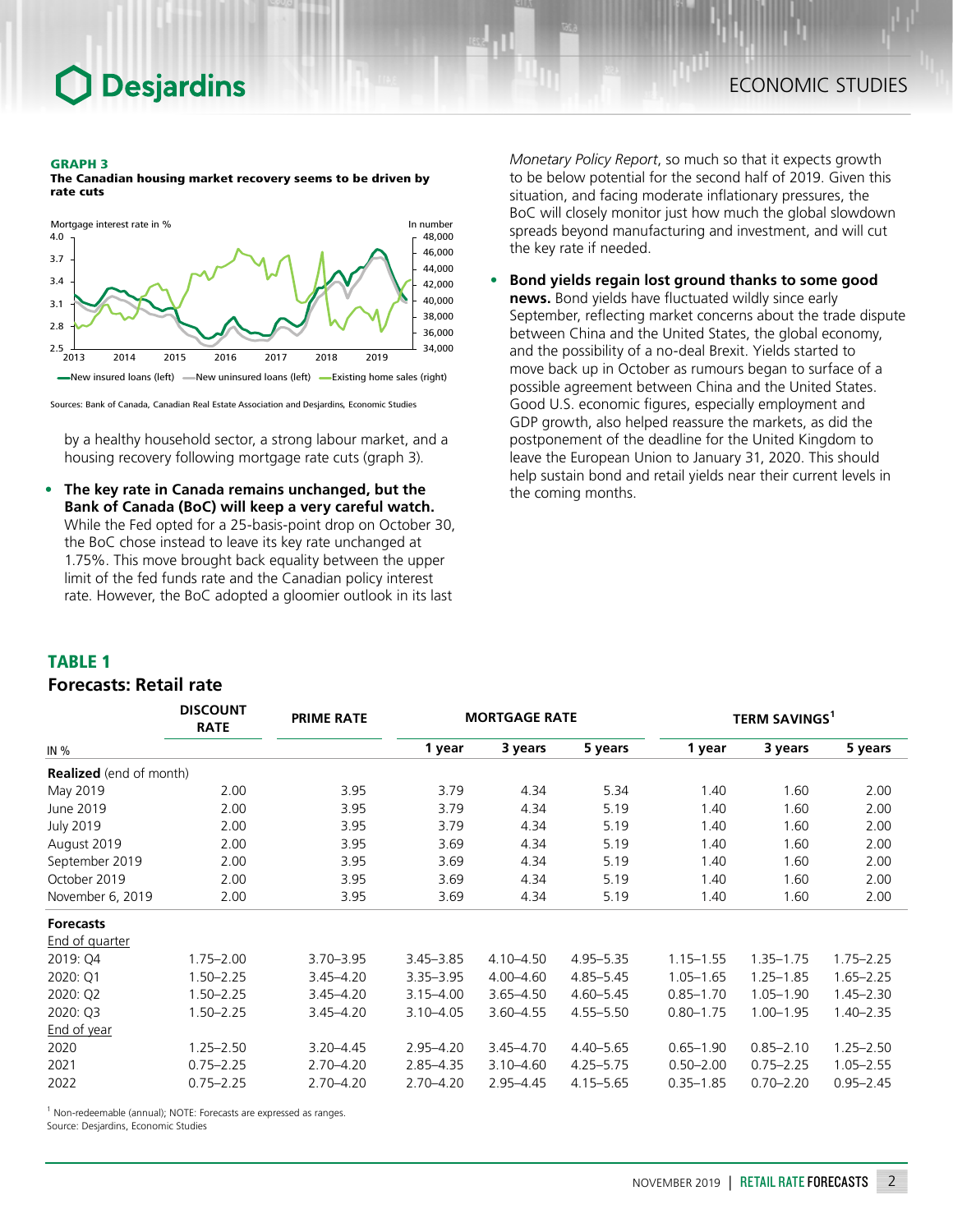#### GRAPH 3

The Canadian housing market recovery seems to be driven by rate cuts



Sources: Bank of Canada, Canadian Real Estate Association and Desjardins, Economic Studies

by a healthy household sector, a strong labour market, and a housing recovery following mortgage rate cuts (graph 3).

**• The key rate in Canada remains unchanged, but the Bank of Canada (BoC) will keep a very careful watch.** While the Fed opted for a 25-basis-point drop on October 30, the BoC chose instead to leave its key rate unchanged at 1.75%. This move brought back equality between the upper limit of the fed funds rate and the Canadian policy interest rate. However, the BoC adopted a gloomier outlook in its last

*Monetary Policy Report*, so much so that it expects growth to be below potential for the second half of 2019. Given this situation, and facing moderate inflationary pressures, the BoC will closely monitor just how much the global slowdown spreads beyond manufacturing and investment, and will cut the key rate if needed.

**• Bond yields regain lost ground thanks to some good news.** Bond yields have fluctuated wildly since early September, reflecting market concerns about the trade dispute between China and the United States, the global economy, and the possibility of a no-deal Brexit. Yields started to move back up in October as rumours began to surface of a possible agreement between China and the United States. Good U.S. economic figures, especially employment and GDP growth, also helped reassure the markets, as did the postponement of the deadline for the United Kingdom to leave the European Union to January 31, 2020. This should help sustain bond and retail yields near their current levels in the coming months.

#### TABLE 1

### *Forecasts: Retail rate*

|                                | <b>DISCOUNT</b><br><b>RATE</b> | <b>PRIME RATE</b> | <b>MORTGAGE RATE</b> |               |               | <b>TERM SAVINGS<sup>1</sup></b> |               |               |
|--------------------------------|--------------------------------|-------------------|----------------------|---------------|---------------|---------------------------------|---------------|---------------|
| IN $%$                         |                                |                   | 1 year               | 3 years       | 5 years       | 1 year                          | 3 years       | 5 years       |
| <b>Realized</b> (end of month) |                                |                   |                      |               |               |                                 |               |               |
| May 2019                       | 2.00                           | 3.95              | 3.79                 | 4.34          | 5.34          | 1.40                            | 1.60          | 2.00          |
| June 2019                      | 2.00                           | 3.95              | 3.79                 | 4.34          | 5.19          | 1.40                            | 1.60          | 2.00          |
| <b>July 2019</b>               | 2.00                           | 3.95              | 3.79                 | 4.34          | 5.19          | 1.40                            | 1.60          | 2.00          |
| August 2019                    | 2.00                           | 3.95              | 3.69                 | 4.34          | 5.19          | 1.40                            | 1.60          | 2.00          |
| September 2019                 | 2.00                           | 3.95              | 3.69                 | 4.34          | 5.19          | 1.40                            | 1.60          | 2.00          |
| October 2019                   | 2.00                           | 3.95              | 3.69                 | 4.34          | 5.19          | 1.40                            | 1.60          | 2.00          |
| November 6, 2019               | 2.00                           | 3.95              | 3.69                 | 4.34          | 5.19          | 1.40                            | 1.60          | 2.00          |
| <b>Forecasts</b>               |                                |                   |                      |               |               |                                 |               |               |
| End of quarter                 |                                |                   |                      |               |               |                                 |               |               |
| 2019: Q4                       | $1.75 - 2.00$                  | $3.70 - 3.95$     | $3.45 - 3.85$        | $4.10 - 4.50$ | 4.95 - 5.35   | $1.15 - 1.55$                   | $1.35 - 1.75$ | $1.75 - 2.25$ |
| 2020: Q1                       | $1.50 - 2.25$                  | $3.45 - 4.20$     | $3.35 - 3.95$        | $4.00 - 4.60$ | $4.85 - 5.45$ | $1.05 - 1.65$                   | $1.25 - 1.85$ | $1.65 - 2.25$ |
| 2020: Q2                       | $1.50 - 2.25$                  | $3.45 - 4.20$     | $3.15 - 4.00$        | $3.65 - 4.50$ | $4.60 - 5.45$ | $0.85 - 1.70$                   | $1.05 - 1.90$ | $1.45 - 2.30$ |
| 2020: Q3                       | $1.50 - 2.25$                  | 3.45-4.20         | $3.10 - 4.05$        | $3.60 - 4.55$ | $4.55 - 5.50$ | $0.80 - 1.75$                   | $1.00 - 1.95$ | $1.40 - 2.35$ |
| End of year                    |                                |                   |                      |               |               |                                 |               |               |
| 2020                           | $1.25 - 2.50$                  | $3.20 - 4.45$     | $2.95 - 4.20$        | $3.45 - 4.70$ | $4.40 - 5.65$ | $0.65 - 1.90$                   | $0.85 - 2.10$ | $1.25 - 2.50$ |
| 2021                           | $0.75 - 2.25$                  | $2.70 - 4.20$     | $2.85 - 4.35$        | $3.10 - 4.60$ | $4.25 - 5.75$ | $0.50 - 2.00$                   | $0.75 - 2.25$ | $1.05 - 2.55$ |
| 2022                           | $0.75 - 2.25$                  | $2.70 - 4.20$     | $2.70 - 4.20$        | $2.95 - 4.45$ | $4.15 - 5.65$ | $0.35 - 1.85$                   | $0.70 - 2.20$ | $0.95 - 2.45$ |

<sup>1</sup> Non-redeemable (annual); NOTE: Forecasts are expressed as ranges.

Source: Desjardins, Economic Studies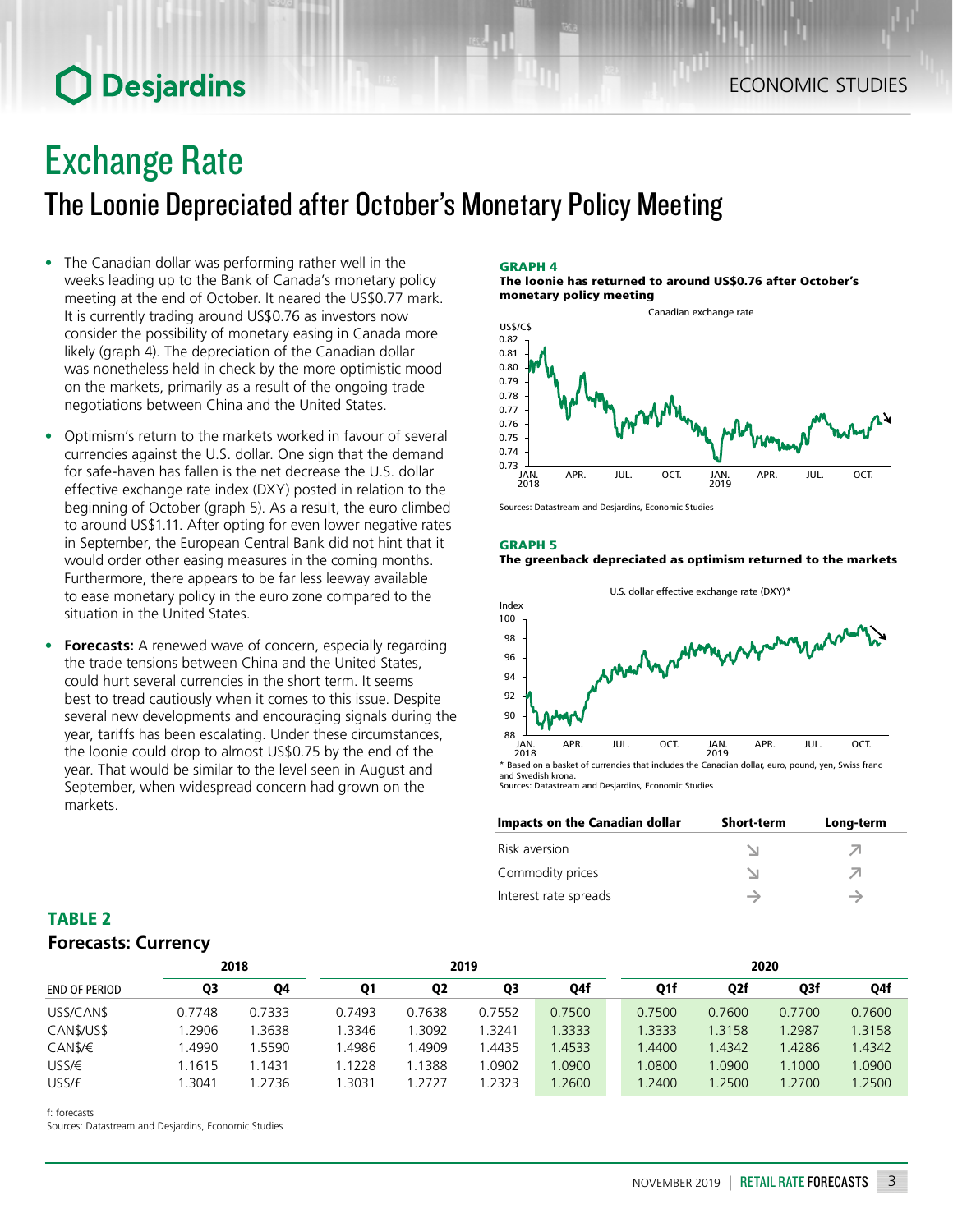## **O** Desjardins

## Exchange Rate

The Loonie Depreciated after October's Monetary Policy Meeting

- The Canadian dollar was performing rather well in the weeks leading up to the Bank of Canada's monetary policy meeting at the end of October. It neared the US\$0.77 mark. It is currently trading around US\$0.76 as investors now consider the possibility of monetary easing in Canada more likely (graph 4). The depreciation of the Canadian dollar was nonetheless held in check by the more optimistic mood on the markets, primarily as a result of the ongoing trade negotiations between China and the United States.
- Optimism's return to the markets worked in favour of several currencies against the U.S. dollar. One sign that the demand for safe-haven has fallen is the net decrease the U.S. dollar effective exchange rate index (DXY) posted in relation to the beginning of October (graph 5). As a result, the euro climbed to around US\$1.11. After opting for even lower negative rates in September, the European Central Bank did not hint that it would order other easing measures in the coming months. Furthermore, there appears to be far less leeway available to ease monetary policy in the euro zone compared to the situation in the United States.
- **• Forecasts:** A renewed wave of concern, especially regarding the trade tensions between China and the United States, could hurt several currencies in the short term. It seems best to tread cautiously when it comes to this issue. Despite several new developments and encouraging signals during the year, tariffs has been escalating. Under these circumstances, the loonie could drop to almost US\$0.75 by the end of the year. That would be similar to the level seen in August and September, when widespread concern had grown on the markets.

#### GRAPH 4

The loonie has returned to around US\$0.76 after October's monetary policy meeting



Sources: Datastream and Desjardins, Economic Studies

#### GRAPH 5 The greenback depreciated as optimism returned to the markets



Sources: Datastream and Desjardins, Economic Studies

| Impacts on the Canadian dollar | <b>Short-term</b> | Long-term |
|--------------------------------|-------------------|-----------|
| Risk aversion                  |                   |           |
| Commodity prices               |                   |           |
| Interest rate spreads          |                   |           |

### TABLE 2 *Forecasts: Currency*

|                      |        | 2018   | 2019   |                   |        | 2020   |              |        |        |        |
|----------------------|--------|--------|--------|-------------------|--------|--------|--------------|--------|--------|--------|
| <b>END OF PERIOD</b> | Q3     | Q4     | Q1     | <b>Q2</b>         | Q3     | Q4f    | Q1f          | Q2f    | Q3f    | Q4f    |
| US\$/CAN\$           | 0.7748 | 0.7333 | 0.7493 | 0.7638            | 0.7552 | 0.7500 | 0.7500       | 0.7600 | 0.7700 | 0.7600 |
| CAN\$/US\$           | .2906  | 1.3638 | .3346  | .3092             | 1.3241 | 1.3333 | 1.3333       | 1.3158 | 1.2987 | 1.3158 |
| CAN\$/€              | .4990  | 1.5590 | .4986  | L <sub>4909</sub> | 1.4435 | 1.4533 | <b>.4400</b> | 1.4342 | 1.4286 | 1.4342 |
| USS/E                | .1615  | 1.1431 | 1.1228 | .1388             | 1.0902 | 1.0900 | 1.0800       | 1.0900 | 1.1000 | .0900  |
| US\$/£               | .3041  | 1.2736 | .3031  | 1.2727            | 1.2323 | 1.2600 | .2400        | 1.2500 | 1.2700 | .2500  |

f: forecasts

Sources: Datastream and Desjardins, Economic Studies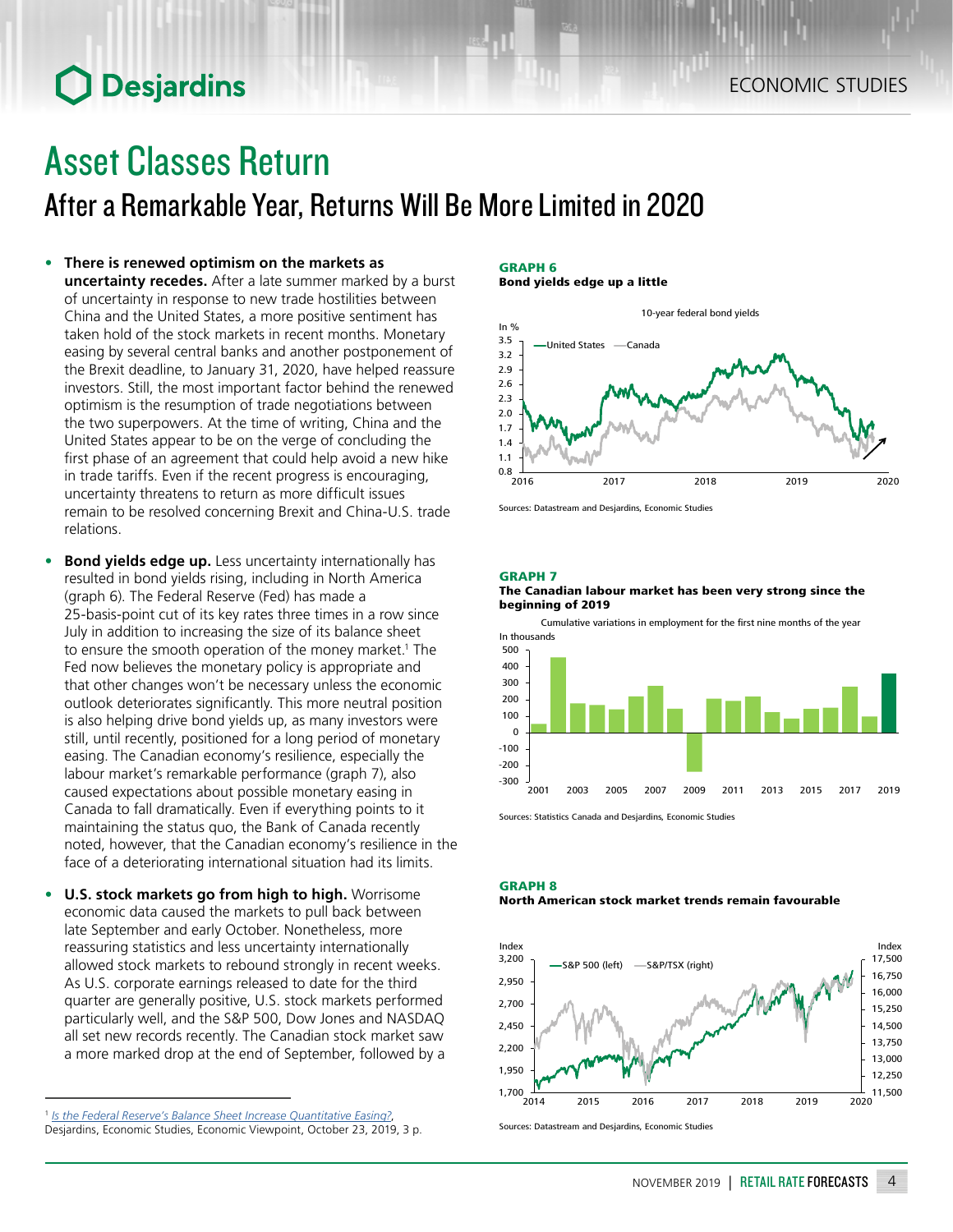## **O** Desjardins

## Asset Classes Return

After a Remarkable Year, Returns Will Be More Limited in 2020

- **• There is renewed optimism on the markets as uncertainty recedes.** After a late summer marked by a burst of uncertainty in response to new trade hostilities between China and the United States, a more positive sentiment has taken hold of the stock markets in recent months. Monetary easing by several central banks and another postponement of the Brexit deadline, to January 31, 2020, have helped reassure investors. Still, the most important factor behind the renewed optimism is the resumption of trade negotiations between the two superpowers. At the time of writing, China and the United States appear to be on the verge of concluding the first phase of an agreement that could help avoid a new hike in trade tariffs. Even if the recent progress is encouraging, uncertainty threatens to return as more difficult issues remain to be resolved concerning Brexit and China-U.S. trade relations.
- **• Bond yields edge up.** Less uncertainty internationally has resulted in bond yields rising, including in North America (graph 6). The Federal Reserve (Fed) has made a 25-basis-point cut of its key rates three times in a row since July in addition to increasing the size of its balance sheet to ensure the smooth operation of the money market.<sup>1</sup> The Fed now believes the monetary policy is appropriate and that other changes won't be necessary unless the economic outlook deteriorates significantly. This more neutral position is also helping drive bond yields up, as many investors were still, until recently, positioned for a long period of monetary easing. The Canadian economy's resilience, especially the labour market's remarkable performance (graph 7), also caused expectations about possible monetary easing in Canada to fall dramatically. Even if everything points to it maintaining the status quo, the Bank of Canada recently noted, however, that the Canadian economy's resilience in the face of a deteriorating international situation had its limits.
- **• U.S. stock markets go from high to high.** Worrisome economic data caused the markets to pull back between late September and early October. Nonetheless, more reassuring statistics and less uncertainty internationally allowed stock markets to rebound strongly in recent weeks. As U.S. corporate earnings released to date for the third quarter are generally positive, U.S. stock markets performed particularly well, and the S&P 500, Dow Jones and NASDAQ all set new records recently. The Canadian stock market saw a more marked drop at the end of September, followed by a

#### GRAPH 6 Bond yields edge up a little



Sources: Datastream and Desjardins, Economic Studies

GRAPH 7

#### The Canadian labour market has been very strong since the beginning of 2019

Cumulative variations in employment for the first nine months of the year



Sources: Statistics Canada and Desjardins, Economic Studies





Sources: Datastream and Desjardins, Economic Studies

<sup>1</sup> *[Is the Federal Reserve's Balance Sheet Increase Quantitative Easing?](https://www.desjardins.com/ca/about-us/economic-studies/news-financial-markets/economic-viewpoint/index.jsp)*, Desjardins, Economic Studies, Economic Viewpoint, October 23, 2019, 3 p.